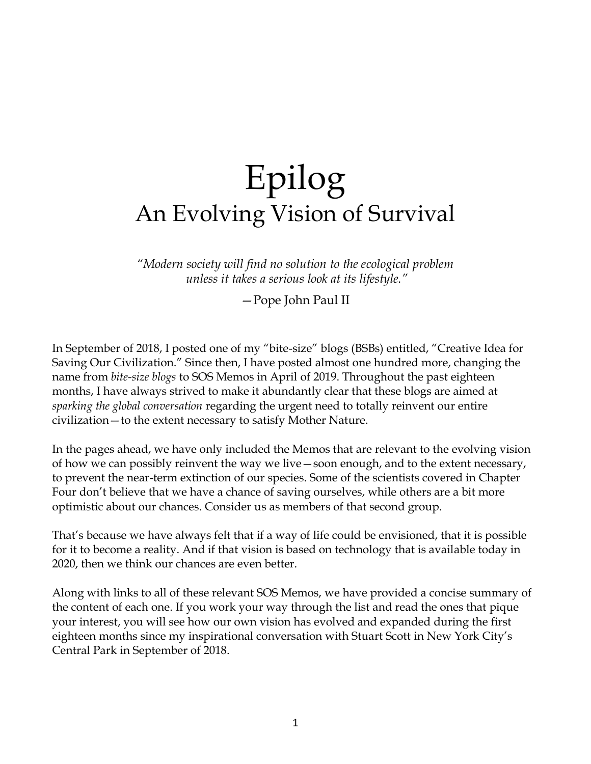## Epilog An Evolving Vision of Survival

*"Modern society will find no solution to the ecological problem unless it takes a serious look at its lifestyle."*

—Pope John Paul II

In September of 2018, I posted one of my "bite-size" blogs (BSBs) entitled, "Creative Idea for Saving Our Civilization." Since then, I have posted almost one hundred more, changing the name from *bite-size blogs* to SOS Memos in April of 2019. Throughout the past eighteen months, I have always strived to make it abundantly clear that these blogs are aimed at *sparking the global conversation* regarding the urgent need to totally reinvent our entire civilization—to the extent necessary to satisfy Mother Nature.

In the pages ahead, we have only included the Memos that are relevant to the evolving vision of how we can possibly reinvent the way we live—soon enough, and to the extent necessary, to prevent the near-term extinction of our species. Some of the scientists covered in Chapter Four don't believe that we have a chance of saving ourselves, while others are a bit more optimistic about our chances. Consider us as members of that second group.

That's because we have always felt that if a way of life could be envisioned, that it is possible for it to become a reality. And if that vision is based on technology that is available today in 2020, then we think our chances are even better.

Along with links to all of these relevant SOS Memos, we have provided a concise summary of the content of each one. If you work your way through the list and read the ones that pique your interest, you will see how our own vision has evolved and expanded during the first eighteen months since my inspirational conversation with Stuart Scott in New York City's Central Park in September of 2018.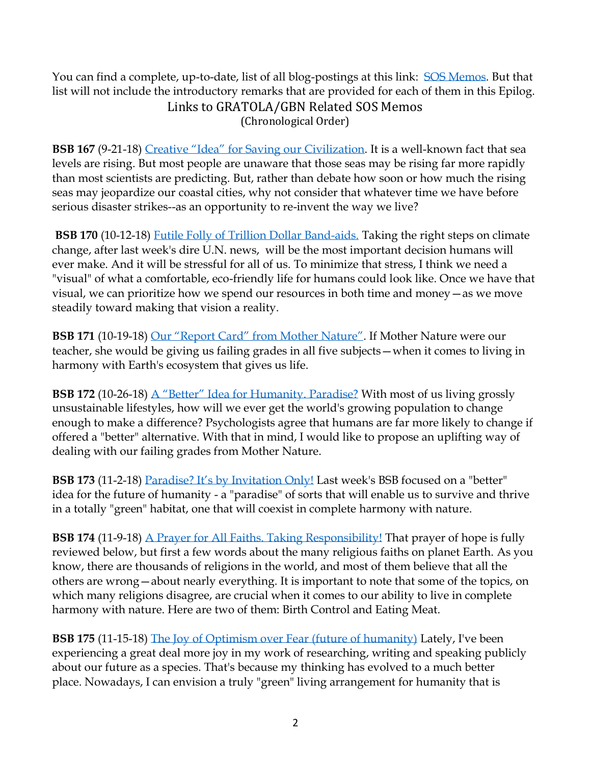You can find a complete, up-to-date, list of all blog-postings at this link: [SOS Memos.](https://hpjmh.com/sos/) But that list will not include the introductory remarks that are provided for each of them in this Epilog. Links to GRATOLA/GBN Related SOS Memos (Chronological Order)

**BSB 167** (9-21-18) [Creative "Idea" for Saving our Civilization](https://conta.cc/2DezkbG). It is a well-known fact that sea [levels are rising.](https://www.nytimes.com/2017/11/22/books/review-water-will-come-jeff-goodell.html) But most people are unaware that those seas may be rising far more rapidly than most scientists are predicting. But, rather than debate how soon or how much the rising seas may jeopardize our coastal cities, why not consider that whatever time we have before serious disaster strikes--as an opportunity to re-invent the way we live?

**BSB 170** (10-12-18) [Futile Folly of Trillion Dollar Band-aids.](https://conta.cc/2OEXUHi) Taking the right steps on climate change, after last week's [dire U.N. news,](https://www.theatlantic.com/science/archive/2018/10/how-to-understand-the-uns-dire-new-climate-report/572356/) will be the most important decision humans will ever make. And it will be stressful for all of us. To minimize that stress, I think we need a "visual" of what a comfortable, eco-friendly life for humans could look like. Once we have that visual, we can prioritize how we spend our resources in both time and money—as we move steadily toward making that vision a reality.

**BSB 171** (10-19-18) [Our "Report Card" from Mother Nature"](https://conta.cc/2CYlxoA). If Mother Nature were our teacher, she would be giving us failing grades in all five subjects—when it comes to living in harmony with Earth's ecosystem that gives us life.

**BSB 172** (10-26-18) [A "Better" Idea for Humanity. Paradise?](https://conta.cc/2O5j64U) With most of us living grossly unsustainable lifestyles, how will we ever get the world's growing population to change enough to make a difference? Psychologists agree that humans are far more likely to change if offered a "better" alternative. With that in mind, I would like to propose an uplifting way of dealing with our failing grades from Mother Nature.

**BSB 173** (11-2-18) [Paradise? It's by Invitation Only!](https://conta.cc/2Qgc67h) Last week's BSB focused on a "better" [idea](https://conta.cc/2O5j64U) for the future of humanity - a "paradise" of sorts that will enable us to survive and thrive in a totally "green" habitat, one that will coexist in complete harmony with nature.

**BSB 174** (11-9-18) [A Prayer for All Faiths. Taking Responsibility!](https://conta.cc/2QvAbXJ) That prayer of hope is fully reviewed below, but first a few words about the many religious faiths on planet Earth. As you know, there are thousands of religions in the world, and most of them believe that all the others are wrong—about nearly everything. It is important to note that some of the topics, on which many religions disagree, are crucial when it comes to our ability to live in complete harmony with nature. Here are two of them: Birth Control and Eating Meat.

**BSB 175** (11-15-18) [The Joy of Optimism over Fear](https://conta.cc/2QLJyTi) (future of humanity) Lately, I've been experiencing a great deal more joy in my work of researching, writing and speaking publicly about our future as a species. That's because my thinking has evolved to a much better place. Nowadays, I can envision a truly "green" living arrangement for humanity that is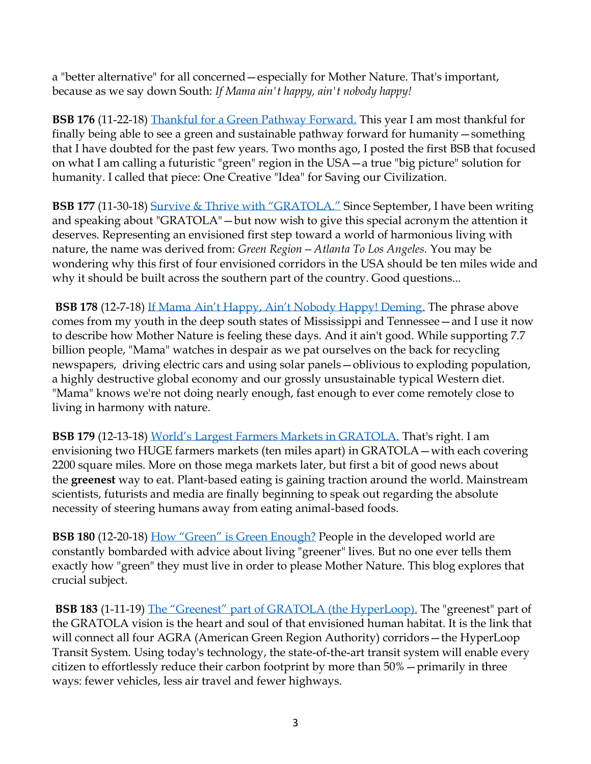a ["better alternative"](https://conta.cc/2O5j64U) for all concerned—especially for Mother Nature. That's important, because as we say down South: *If Mama ain't happy, ain't nobody happy!*

**BSB 176** (11-22-18) [Thankful for a Green Pathway Forward.](https://conta.cc/2R3Z9h1) This year I am most thankful for finally being able to see a green and sustainable pathway forward for humanity—something that I have doubted for the past few years. Two months ago, I posted the first BSB that focused on what I am calling a futuristic "green" region in the USA—a true "big picture" solution for humanity. I called that piece: One Creative "Idea" for Saving our Civilization.

**BSB 177** (11-30-18) [Survive & Thrive with "GRATOLA](https://conta.cc/2N267G1)." Since September, I have been writing and speaking about "GRATOLA"—but now wish to give this special acronym the attention it deserves. Representing an envisioned first step toward a world of harmonious living with nature, the name was derived from: *Green Region—Atlanta To Los Angeles.* You may be wondering why this first of four envisioned corridors in the USA should be ten miles wide and why it should be built across the southern part of the country. Good questions...

**BSB 178** (12-7-18) [If Mama Ain't Happy, Ain't Nobody Happy! Deming](https://conta.cc/2EmoHU5). The phrase above comes from my youth in the deep south states of Mississippi and Tennessee—and I use it now to describe how Mother Nature is feeling these days. And it ain't good. While supporting 7.7 billion people, "Mama" watches in despair as we pat ourselves on the back for recycling newspapers, driving electric cars and using solar panels—oblivious to exploding population, a highly destructive global economy and our grossly unsustainable typical Western diet. "Mama" knows we're not doing nearly enough, fast enough to ever come remotely close to living in harmony with nature.

**BSB 179** (12-13-18) [World's Largest Farmers Markets in GRATOLA.](https://conta.cc/2RTR5Qt) That's right. I am envisioning two HUGE farmers markets (ten miles apart) in GRATOLA—with each covering 2200 square miles. More on those mega markets later, but first a bit of good news about the **greenest** way to eat. Plant-based eating is gaining traction around the world. Mainstream scientists, futurists and media are finally beginning to speak out regarding the absolute necessity of steering humans away from eating animal-based foods.

**BSB 180** (12-20-18) [How "Green" is Green Enough?](https://conta.cc/2EBKRAS) People in the developed world are constantly bombarded with advice about living "greener" lives. But no one ever tells them exactly how "green" they must live in order to please Mother Nature. This blog explores that crucial subject.

**BSB 183** (1-11-19) [The "Greenest" part of G](https://conta.cc/2FoLM8h)RATOLA (the HyperLoop). The "greenest" part of the GRATOLA vision is the heart and soul of that envisioned human habitat. It is the link that will connect all four AGRA (American Green Region Authority) corridors—the HyperLoop Transit System. Using today's technology, the state-of-the-art transit system will enable every citizen to effortlessly reduce their carbon footprint by more than 50%—primarily in three ways: fewer vehicles, less air travel and fewer highways.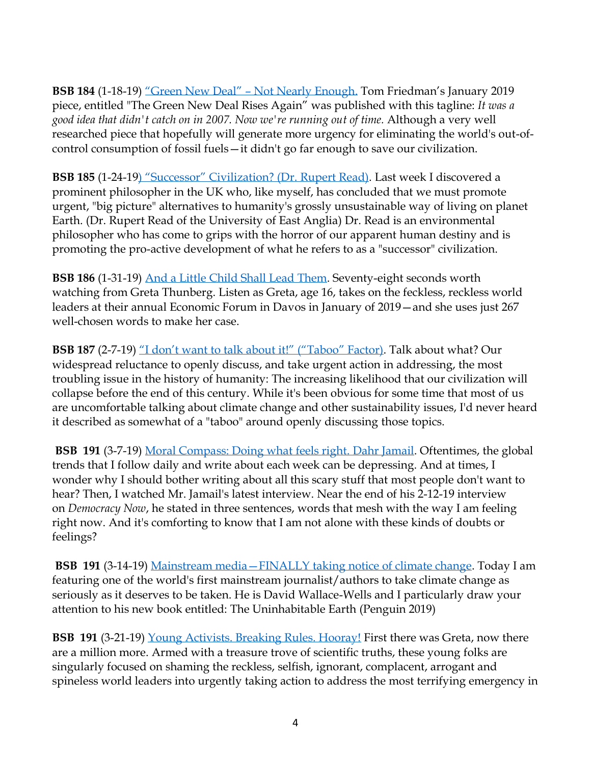**BSB 184** (1-18-19) ["Green New Deal" –](https://conta.cc/2FL960i) Not Nearly Enough. Tom Friedman's January 2019 piece, entitled ["The Green New Deal Rises Again"](https://www.nytimes.com/2019/01/08/opinion/green-new-deal.html) was published with this tagline: *It was a good idea that didn't catch on in 2007. Now we're running out of time.* Although a very well researched piece that hopefully will generate more urgency for eliminating the world's out-ofcontrol consumption of fossil fuels—it didn't go far enough to save our civilization.

**BSB 185** (1-24-19) ["Successor" Civilization? \(Dr. Rupert Read\)](https://conta.cc/2DyzZmA). Last week I discovered a prominent philosopher in the UK who, like myself, has concluded that we must promote urgent, "big picture" alternatives to humanity's grossly unsustainable way of living on planet Earth. (Dr. Rupert Read of the [University of East Anglia\)](https://en.wikipedia.org/wiki/University_of_East_Anglia) Dr. Read is an environmental philosopher who has come to grips with the horror of our apparent human destiny and is promoting the pro-active development of what he refers to as a "successor" civilization.

**BSB 186** (1-31-19) [And a Little Child Shall Lead Them.](https://conta.cc/2DNB61N) Seventy-eight seconds worth watching from Greta Thunberg. Listen as Greta, age 16, takes on the feckless, reckless world leaders at their annual [Economic Forum](https://www.weforum.org/events/world-economic-forum-annual-meeting) in Davos in January of 2019—and she uses just 267 well-chosen words to make her case.

**BSB 187** (2-7-19) ["I don't want to talk about it!"](https://conta.cc/2DkTb5H) ("Taboo" Factor). Talk about what? Our widespread reluctance to openly discuss, and take urgent action in addressing, the most troubling issue in the history of humanity: The increasing likelihood that our civilization will collapse before the end of this century. While it's been obvious for some time that most of us are uncomfortable talking about climate change and other sustainability issues, I'd never heard it described as somewhat of a "taboo" around openly discussing those topics.

**BSB 191** (3-7-19) [Moral Compass: Doing what feels right.](https://conta.cc/2TA4WzC) Dahr Jamail. Oftentimes, the global trends that I follow daily and write about each week can be depressing. And at times, I wonder why I should bother writing about all this scary stuff that most people don't want to hear? Then, I watched Mr. Jamail's latest interview. Near the end of his 2-12-19 interview on *Democracy Now*, he stated in three sentences, words that mesh with the way I am feeling right now. And it's comforting to know that I am not alone with these kinds of doubts or feelings?

**BSB 191** (3-14-19) Mainstream media—[FINALLY taking notice of climate change.](https://conta.cc/2TVs1Nq) Today I am featuring one of the world's first mainstream journalist/authors to take climate change as seriously as it deserves to be taken. He is David Wallace-Wells and I particularly draw your attention to his new book entitled: [The Uninhabitable Earth](https://www.amazon.com/Uninhabitable-Earth-Life-After-Warming/dp/0525576703/ref=sr_1_1?ie=UTF8&qid=1551104598&sr=8-1&keywords=the+uninhabitable+earth) (Penguin 2019)

**BSB 191** (3-21-19) [Young Activists. Breaking Rules. Hooray!](https://conta.cc/2JxGo6B) First there was Greta, now there are a million more. Armed with a treasure trove of scientific truths, these young folks are singularly focused on shaming the reckless, selfish, ignorant, complacent, arrogant and spineless world leaders into urgently taking action to address the most terrifying emergency in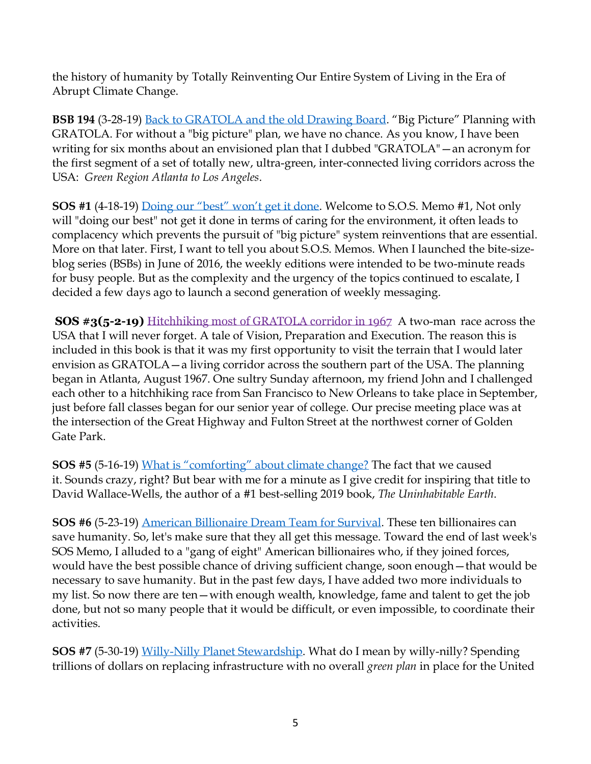the history of humanity by Totally Reinventing Our Entire System of Living in the Era of Abrupt Climate Change.

**BSB 194** (3-28-19) [Back to GRATOLA and the old Drawing Board.](https://conta.cc/2U7pLmP) "Big Picture" Planning with GRATOLA. For without a "big picture" plan, we have no chance. As you know, I have been writing for six months about an envisioned plan that I dubbed "GRATOLA"—an acronym for the first segment of a set of totally new, ultra-green, inter-connected living corridors across the USA: *Green Region Atlanta to Los Angeles*.

**SOS #1** (4-18-19) [Doing our "best" won't get it done](https://conta.cc/2XvMl6b). Welcome to S.O.S. Memo #1, Not only will "doing our best" not get it done in terms of caring for the environment, it often leads to complacency which prevents the pursuit of "big picture" system reinventions that are essential. More on that later. First, I want to tell you about S.O.S. Memos. When I launched the bite-sizeblog series (BSBs) in June of 2016, the weekly editions were intended to be two-minute reads for busy people. But as the complexity and the urgency of the topics continued to escalate, I decided a few days ago to launch a second generation of weekly messaging.

**SOS #3(5-2-19)** [Hitchhiking](https://conta.cc/2HQ8vcM) most of GRATOLA corridor in 1967A two-man race across the USA that I will never forget. A tale of Vision, Preparation and Execution. The reason this is included in this book is that it was my first opportunity to visit the terrain that I would later envision as GRATOLA—a living corridor across the southern part of the USA. The planning began in Atlanta, August 1967. One sultry Sunday afternoon, my friend John and I challenged each other to a hitchhiking race from San Francisco to New Orleans to take place in September, just before fall classes began for our senior year of college. Our precise meeting place was at the intersection of the Great Highway and Fulton Street at the northwest corner of Golden Gate Park.

**SOS #5** (5-16-19) [What is "comforting" about climate change?](https://conta.cc/2HCsbkx) The fact that we caused it. Sounds crazy, right? But bear with me for a minute as I give credit for inspiring that title to David Wallace-Wells, the author of a #1 best-selling 2019 book, *The Uninhabitable Earth*.

**SOS #6** (5-23-19) [American Billionaire Dream Team for Survival.](https://conta.cc/2Ez1Jrc) These ten billionaires can save humanity. So, let's make sure that they all get this message. Toward the end of last week's SOS Memo, I alluded to a "gang of eight" American billionaires who, if they joined forces, would have the best possible chance of driving sufficient change, soon enough—that would be necessary to save humanity. But in the past few days, I have added two more individuals to my list. So now there are ten—with enough wealth, knowledge, fame and talent to get the job done, but not so many people that it would be difficult, or even impossible, to coordinate their activities.

**SOS #7** (5-30-19) [Willy-Nilly Planet Stewardship.](https://conta.cc/2HLg1Hm) What do I mean by willy-nilly? Spending trillions of dollars on replacing infrastructure with no overall *green plan* in place for the United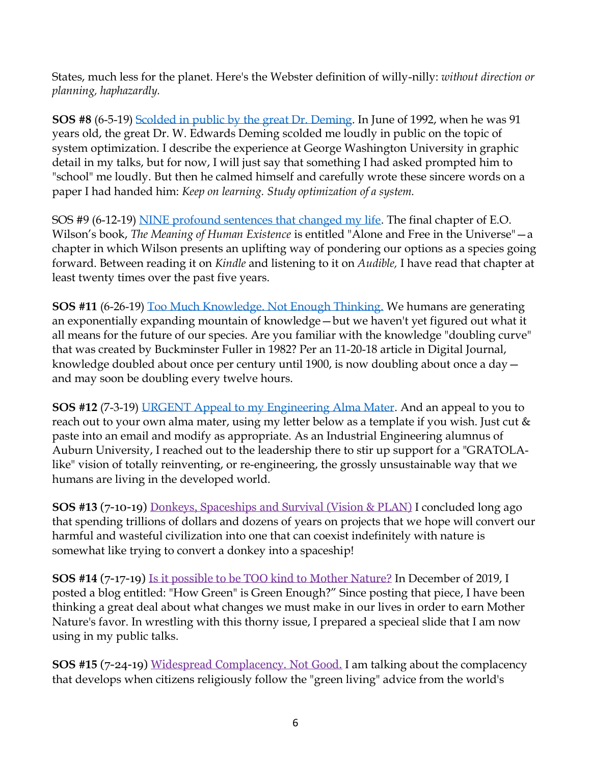States, much less for the planet. Here's the Webster definition of willy-nilly: *without direction or planning, haphazardly.*

**SOS #8** (6-5-19) [Scolded in public](https://conta.cc/2QO7kPo) by the great Dr. Deming. In June of 1992, when he was 91 years old, the great Dr. [W. Edwards Deming](https://en.wikipedia.org/wiki/W._Edwards_Deming) scolded me loudly in public on the topic of system optimization. I describe the experience at George Washington University in graphic detail in my talks, but for now, I will just say that something I had asked prompted him to "school" me loudly. But then he calmed himself and carefully wrote these sincere words on a paper I had handed him: *Keep on learning. Study optimization of a system.*

SOS #9 (6-12-19) [NINE profound sentences that changed my life.](https://conta.cc/2ReZi2b) The final chapter of E.O. Wilson's book, *The Meaning of Human Existence* is entitled "Alone and Free in the Universe"—a chapter in which Wilson presents an uplifting way of pondering our options as a species going forward. Between reading it on *Kindle* and listening to it on *Audible,* I have read that chapter at least twenty times over the past five years.

**SOS #11** (6-26-19) [Too Much Knowledge. Not Enough Thinking.](https://conta.cc/2ISYiht) We humans are generating an exponentially expanding mountain of knowledge—but we haven't yet figured out what it all means for the future of our species. Are you familiar with the knowledge "doubling curve" that was created by Buckminster Fuller in 1982? Per an 11-20-18 article in Digital Journal, knowledge doubled about once per century until 1900, is now doubling about once a day and may soon be doubling every twelve hours.

**SOS #12** (7-3-19) [URGENT Appeal to my Engineering Alma Mater.](https://conta.cc/2NHMeV4) And an appeal to you to reach out to your own alma mater, using my letter below as a template if you wish. Just cut & paste into an email and modify as appropriate. As an Industrial Engineering alumnus of Auburn University, I reached out to the leadership there to stir up support for a "GRATOLAlike" vision of totally reinventing, or re-engineering, the grossly unsustainable way that we humans are living in the developed world.

**SOS #13** (7-10-19) Donkeys, [Spaceships](https://conta.cc/2pm1VFk) and Survival (Vision & PLAN) I concluded long ago that spending trillions of dollars and dozens of years on projects that we hope will convert our harmful and wasteful civilization into one that can coexist indefinitely with nature is somewhat like trying to convert a donkey into a spaceship!

**SOS #14** (7-17-19) Is it [possible](https://conta.cc/2XWqTH6) to be TOO kind to Mother Nature? In December of 2019, I posted a blog entitled: "How Green" is Green Enough?" Since posting that piece, I have been thinking a great deal about what changes we must make in our lives in order to earn Mother Nature's favor. In wrestling with this thorny issue, I prepared a specieal slide that I am now using in my public talks.

**SOS #15** (7-24-19) Widespread [Complacency.](https://conta.cc/2SNehAY) Not Good. I am talking about the complacency that develops when citizens religiously follow the "green living" advice from the world's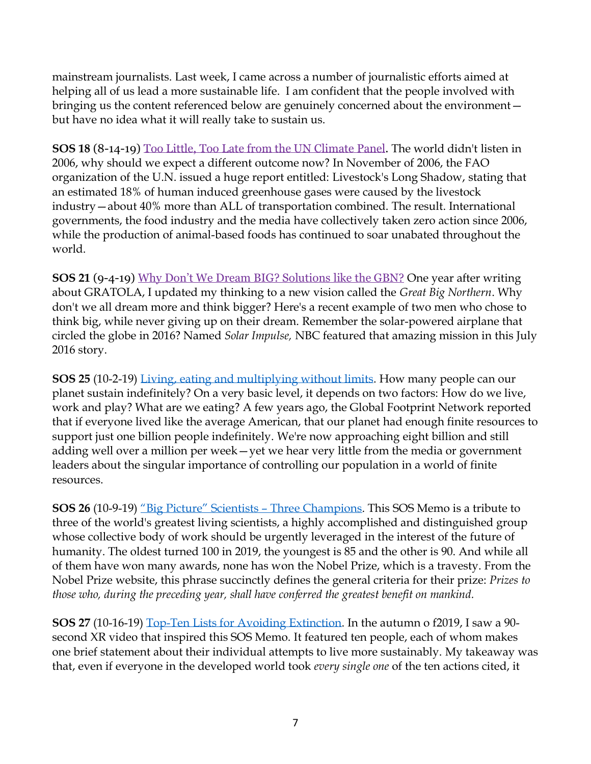mainstream journalists. Last week, I came across a number of journalistic efforts aimed at helping all of us lead a more sustainable life. I am confident that the people involved with bringing us the content referenced below are genuinely concerned about the environment but have no idea what it will really take to sustain us.

**SOS 18** (8-14-19) Too Little, Too Late from the UN [Climate](https://conta.cc/31CMoiv) Panel. The world didn't listen in 2006, why should we expect a different outcome now? In November of 2006, the FAO organization of the U.N. issued a huge report entitled: Livestock's Long Shadow, stating that an estimated 18% of human induced greenhouse gases were caused by the livestock industry—about 40% more than ALL of transportation combined. The result. International governments, the food industry and the media have collectively taken zero action since 2006, while the production of animal-based foods has continued to soar unabated throughout the world.

**SOS 21** (9-4-19) Why Don't We Dream BIG? [Solutions](https://conta.cc/32wwOVU) like the GBN? One year after writing about GRATOLA, I updated my thinking to a new vision called the *Great Big Northern*. Why don't we all dream more and think bigger? Here's a recent example of two men who chose to think big, while never giving up on their dream. Remember the solar-powered airplane that circled the globe in 2016? Named *Solar Impulse,* NBC featured that amazing mission in [this July](https://www.nbcnews.com/slideshow/pyramids-lady-liberty-solar-plane-circles-globe-n618076)  [2016 story.](https://www.nbcnews.com/slideshow/pyramids-lady-liberty-solar-plane-circles-globe-n618076)

**SOS 25** (10-2-19) [Living, eating and multiplying without limits.](https://conta.cc/355OlGK) How many people can our planet sustain indefinitely? On a very basic level, it depends on two factors: How do we live, work and play? What are we eating? A few years ago, the Global Footprint Network reported that if everyone lived like the average American, that our planet had enough finite resources to support just one billion people indefinitely. We're now approaching eight billion and still adding well over a million per week—yet we hear very little from the media or government leaders about the singular importance of controlling our population in a world of finite resources.

**SOS 26** (10-9-19) ["Big Picture" Scientists –](https://conta.cc/31ZUwdm) Three Champions. This SOS Memo is a tribute to three of the world's greatest living scientists, a highly accomplished and distinguished group whose collective body of work should be urgently leveraged in the interest of the future of humanity. The oldest turned 100 in 2019, the youngest is 85 and the other is 90. And while all of them have won many awards, none has won the Nobel Prize, which is a travesty. From the Nobel Prize website, this phrase succinctly defines the general criteria for their prize: *Prizes to those who, during the preceding year, shall have conferred the greatest benefit on mankind.*

**SOS 27** (10-16-19) [Top-Ten Lists for Avoiding Extinction.](https://conta.cc/2BiG30D) In the autumn o f2019, I saw a 90 second XR video that inspired this SOS Memo. It featured ten people, each of whom makes one brief statement about their individual attempts to live more sustainably. My takeaway was that, even if everyone in the developed world took *every single one* of the ten actions cited, it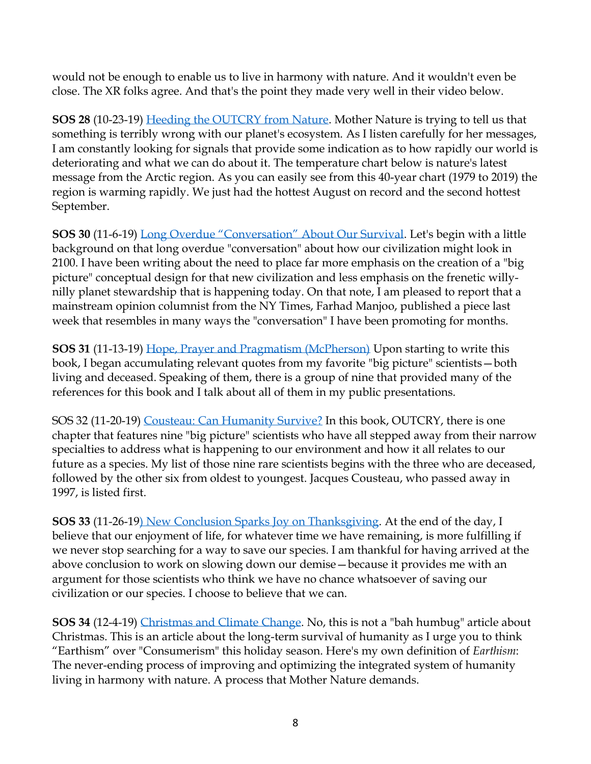would not be enough to enable us to live in harmony with nature. And it wouldn't even be close. The XR folks agree. And that's the point they made very well in their video below.

**SOS 28** (10-23-19) [Heeding the OUTCRY from Nature.](https://conta.cc/2Njf3nk) Mother Nature is trying to tell us that something is terribly wrong with our planet's ecosystem. As I listen carefully for her messages, I am constantly looking for signals that provide some indication as to how rapidly our world is deteriorating and what we can do about it. The temperature chart below is nature's latest message from the Arctic region. As you can easily see from this 40-year chart (1979 to 2019) the region is warming rapidly. We just had the hottest August on record and the second hottest September.

**SOS 30** (11-6-19) [Long Overdue "Conversation" About Our Survival](https://conta.cc/2NqU5UC). Let's begin with a little background on that long overdue "conversation" about how our civilization might look in 2100. I have been writing about the need to place far more emphasis on the creation of a "big picture" conceptual design for that new civilization and less emphasis on the frenetic [willy](https://myemail.constantcontact.com/SOS-7-Willy-Nilly-Planet-Stewardship.html?soid=1105697166873&aid=JIHrg9x4qOI)[nilly planet stewardship](https://myemail.constantcontact.com/SOS-7-Willy-Nilly-Planet-Stewardship.html?soid=1105697166873&aid=JIHrg9x4qOI) that is happening today. On that note, I am pleased to report that a mainstream opinion columnist from the NY Times, Farhad Manjoo, published a piece last week that resembles in many ways the "conversation" I have been promoting for months.

**SOS 31** (11-13-19) [Hope, Prayer and Pragmatism \(McPherson\)](https://conta.cc/32tvbYU) Upon starting to write this book, I began accumulating relevant quotes from my favorite ["big picture" scientists](https://www.scientistswarning.org/8-big-picture-scientists-big-picture-scientists-share-grave-concerns/)—both living and deceased. Speaking of them, there is a group of nine that provided many of the references for this book and I talk about all of them in my public presentations.

SOS 32 (11-20-19) [Cousteau: Can Humanity Survive?](https://conta.cc/2OBtTGp) In this book, OUTCRY, there is one chapter that features nine "big picture" scientists who have all stepped away from their narrow specialties to address what is happening to our environment and how it all relates to our future as a species. My list of those nine rare scientists begins with the three who are deceased, followed by the other six from oldest to youngest. Jacques Cousteau, who passed away in 1997, is listed first.

**SOS 33** (11-26-19) [New Conclusion Sparks Joy on Thanksgiving.](https://conta.cc/2Oq8ctR) At the end of the day, I believe that our enjoyment of life, for whatever time we have remaining, is more fulfilling if we never stop searching for a way to save our species. I am thankful for having arrived at the above conclusion to work on slowing down our demise—because it provides me with an argument for those scientists who think we have no chance whatsoever of saving our civilization or our species. I choose to believe that we can.

**SOS 34** (12-4-19) [Christmas and Climate Change.](https://conta.cc/33QfL1A) No, this is not a "bah humbug" article about Christmas. This is an article about the long-term survival of humanity as I urge you to think "Earthism" over "Consumerism" this holiday season. Here's my own definition of *Earthism*: The never-ending process of improving and optimizing the integrated system of humanity living in harmony with nature. A process that Mother Nature demands.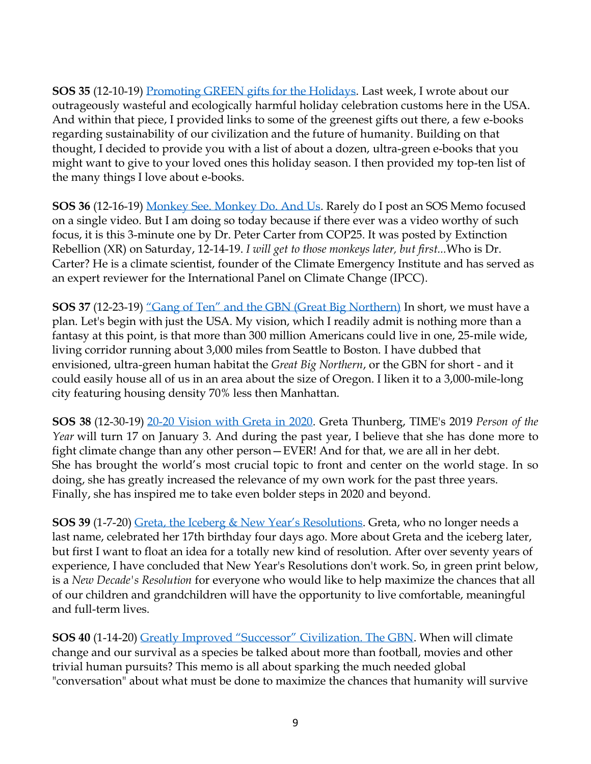**SOS 35** (12-10-19) [Promoting GREEN gifts for the Holidays.](https://conta.cc/2E8PfFW) Last week, I wrote about our outrageously wasteful and ecologically harmful holiday celebration customs here in the USA. And [within that piece,](https://conta.cc/33QfL1A) I provided links to some of the greenest gifts out there, a few e-books regarding sustainability of our civilization and the future of humanity. Building on that thought, I decided to provide you with a list of about a dozen, ultra-green e-books that you might want to give to your loved ones this holiday season. I then provided my top-ten list of the many things I love about e-books.

**SOS 36** (12-16-19) [Monkey See. Monkey Do. And Us.](https://conta.cc/2rY0O0e) Rarely do I post an SOS Memo focused on a single video. But I am doing so today because if there ever was a video worthy of such focus, it is this 3-minute one by Dr. Peter Carter from COP25. It was posted by Extinction Rebellion (XR) on Saturday, 12-14-19. *I will get to those monkeys later, but first...*Who is Dr. Carter? He is a climate scientist, founder of the Climate Emergency Institute and has served as an expert reviewer for the International Panel on Climate Change (IPCC).

**SOS 37** (12-23-19) ["Gang of Ten" and the GBN \(Great Big Northern\)](https://conta.cc/2ELmzTM) In short, we must have a plan. Let's begin with just the USA. My vision, which I readily admit is nothing more than a fantasy at this point, is that more than 300 million Americans could live in one, 25-mile wide, living corridor running about 3,000 miles from Seattle to Boston. I have dubbed that envisioned, ultra-green human habitat the *Great Big Northern*, or the GBN for short - and it could easily house all of us in an area about the size of Oregon. I liken it to a 3,000-mile-long city featuring housing density 70% less then Manhattan.

**SOS 38** (12-30-19) [20-20 Vision with Greta in 2020.](https://conta.cc/2rBA9WW) Greta Thunberg, TIME's 2019 *Person of the Year* will turn 17 on January 3. And during the past year, I believe that she has done more to fight climate change than any other person—EVER! And for that, we are all in her debt. She has brought the world's most crucial topic to front and center on the world stage. In so doing, she has greatly increased the relevance of my own work for the past three years. Finally, she has inspired me to take even bolder steps in 2020 and beyond.

**SOS 39** (1-7-20) [Greta, the Iceberg & New Year's Resolutions](https://conta.cc/2QyClIk). Greta, who no longer needs a last name, celebrated her 17th birthday four days ago. More about Greta and the iceberg later, but first I want to float an idea for a totally new kind of resolution. After over seventy years of experience, I have concluded that New Year's Resolutions don't work. So, in green print below, is a *New Decade's Resolution* for everyone who would like to help maximize the chances that all of our children and grandchildren will have the opportunity to live comfortable, meaningful and full-term lives.

**SOS 40** (1-14-20) [Greatly Improved "Successor" Civilization. The GBN](https://conta.cc/2QMp9Qy). When will climate change and our survival as a species be talked about more than football, movies and other trivial human pursuits? This memo is all about sparking the much needed global "conversation" about what must be done to maximize the chances that humanity will survive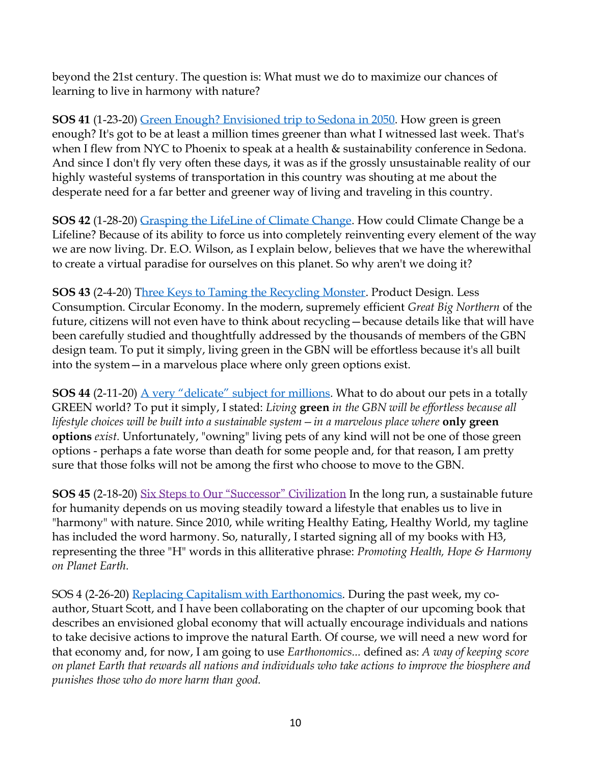beyond the 21st century. The question is: What must we do to maximize our chances of learning to live in harmony with nature?

**SOS 41** (1-23-20) Green Enough? [Envisioned trip to Sedona in 2050.](https://conta.cc/38yVW1p) How green is green enough? It's got to be at least a million times greener than what I witnessed last week. That's when I flew from NYC to Phoenix to speak at a health & sustainability conference in Sedona. And since I don't fly very often these days, it was as if the grossly unsustainable reality of our highly wasteful systems of transportation in this country was shouting at me about the desperate need for a far better and greener way of living and traveling in this country.

**SOS 42** (1-28-20) [Grasping the LifeLine of Climate Change.](https://conta.cc/2RBaEPJ) How could Climate Change be a Lifeline? Because of its ability to force us into completely reinventing every element of the way we are now living. Dr. E.O. Wilson, as I explain below, believes that we have the wherewithal to create a virtual paradise for ourselves on this planet. So why aren't we doing it?

**SOS 43** (2-4-20) [Three Keys to Taming the Recycling Monster.](https://conta.cc/2vTgrb5) Product Design. Less Consumption. Circular Economy. In the modern, supremely efficient *Great Big Northern* of the future, citizens will not even have to think about recycling—because details like that will have been carefully studied and thoughtfully addressed by the thousands of members of the GBN design team. To put it simply, living green in the GBN will be effortless because it's all built into the system—in a marvelous place where only green options exist.

**SOS 44** (2-11-20) [A very "delicate" subject for millions](https://conta.cc/2SELcYT). What to do about our pets in a totally GREEN world? To put it simply, I stated: *Living* **green** *in the GBN will be effortless because all lifestyle choices will be built into a sustainable system—in a marvelous place where* **only green options** *exist.* Unfortunately, "owning" living pets of any kind will not be one of those green options - perhaps a fate worse than death for some people and, for that reason, I am pretty sure that those folks will not be among the first who choose to move to the GBN.

**SOS 45** (2-18-20) Six Steps to Our ["Successor"](https://conta.cc/2I6WS1I) Civilization In the long run, a sustainable future for humanity depends on us moving steadily toward a lifestyle that enables us to live in "harmony" with nature. Since 2010, while writing Healthy Eating, Healthy World, my tagline has included the word harmony. So, naturally, I started signing all of my books with H3, representing the three "H" words in this alliterative phrase: *Promoting Health, Hope & Harmony on Planet Earth.*

SOS 4 (2-26-20) [Replacing Capitalism with Earthonomics.](https://conta.cc/2PseCJ4) During the past week, my coauthor, [Stuart Scott,](https://www.scientistswarning.org/biography/) and I have been collaborating on the chapter of our [upcoming book](https://hpjmhdotcom.files.wordpress.com/2020/02/0-intro-plus-cover-1.pdf) that describes an envisioned global economy that will actually encourage individuals and nations to take decisive actions to improve the natural Earth. Of course, we will need a new word for that economy and, for now, I am going to use *Earthonomics...* defined as: *A way of keeping score on planet Earth that rewards all nations and individuals who take actions to improve the biosphere and punishes those who do more harm than good.*